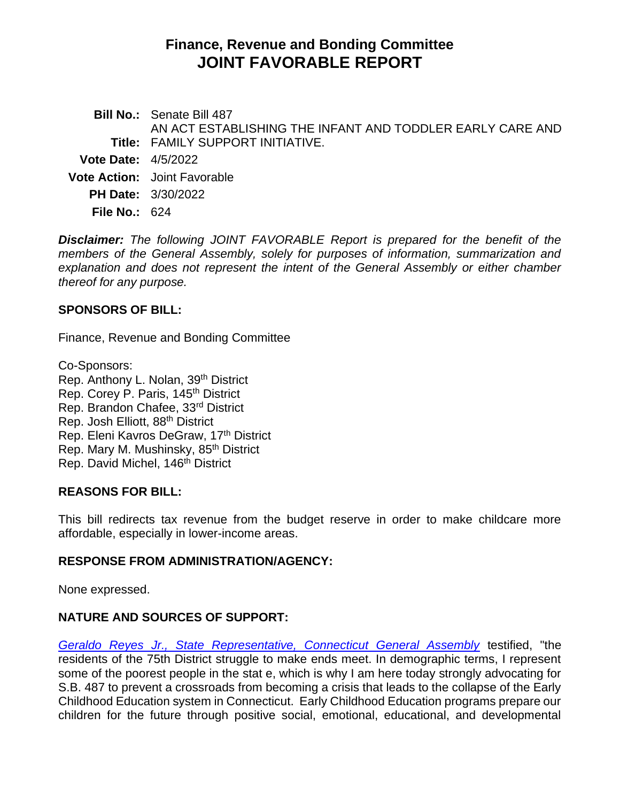# **Finance, Revenue and Bonding Committee JOINT FAVORABLE REPORT**

**Bill No.:** Senate Bill 487 **Title:** FAMILY SUPPORT INITIATIVE. AN ACT ESTABLISHING THE INFANT AND TODDLER EARLY CARE AND **Vote Date:** 4/5/2022 **Vote Action:** Joint Favorable **PH Date:** 3/30/2022

**File No.:** 624

*Disclaimer: The following JOINT FAVORABLE Report is prepared for the benefit of the members of the General Assembly, solely for purposes of information, summarization and explanation and does not represent the intent of the General Assembly or either chamber thereof for any purpose.*

#### **SPONSORS OF BILL:**

Finance, Revenue and Bonding Committee

Co-Sponsors: Rep. Anthony L. Nolan, 39<sup>th</sup> District Rep. Corey P. Paris, 145<sup>th</sup> District Rep. Brandon Chafee, 33rd District Rep. Josh Elliott, 88th District Rep. Eleni Kavros DeGraw, 17<sup>th</sup> District Rep. Mary M. Mushinsky, 85<sup>th</sup> District Rep. David Michel, 146<sup>th</sup> District

## **REASONS FOR BILL:**

This bill redirects tax revenue from the budget reserve in order to make childcare more affordable, especially in lower-income areas.

## **RESPONSE FROM ADMINISTRATION/AGENCY:**

None expressed.

## **NATURE AND SOURCES OF SUPPORT:**

*[Geraldo Reyes Jr., State Representative, Connecticut General Assembly](https://cga.ct.gov/2022/FINdata/Tmy/2022SB-00487-R000330-Reyes%20Jr.,%20Geraldo,%20State%20Representative,%20Connecticut%20General%20Assembly%20-%20Support-TMY.PDF)* testified, "the residents of the 75th District struggle to make ends meet. In demographic terms, I represent some of the poorest people in the stat e, which is why I am here today strongly advocating for S.B. 487 to prevent a crossroads from becoming a crisis that leads to the collapse of the Early Childhood Education system in Connecticut. Early Childhood Education programs prepare our children for the future through positive social, emotional, educational, and developmental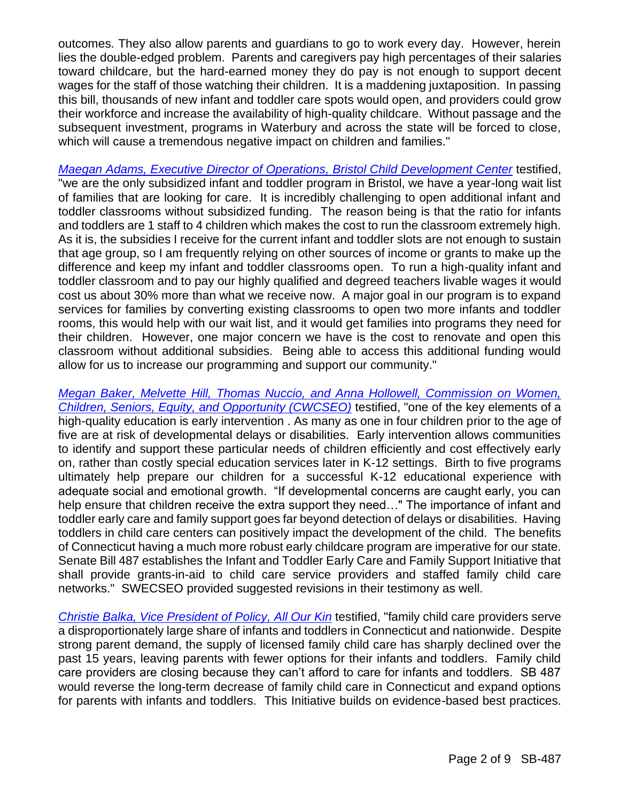outcomes. They also allow parents and guardians to go to work every day. However, herein lies the double-edged problem. Parents and caregivers pay high percentages of their salaries toward childcare, but the hard-earned money they do pay is not enough to support decent wages for the staff of those watching their children. It is a maddening juxtaposition. In passing this bill, thousands of new infant and toddler care spots would open, and providers could grow their workforce and increase the availability of high-quality childcare. Without passage and the subsequent investment, programs in Waterbury and across the state will be forced to close, which will cause a tremendous negative impact on children and families."

*[Maegan Adams, Executive Director of Operations, Bristol Child Development Center](https://cga.ct.gov/2022/FINdata/Tmy/2022SB-00487-R000330-Adams,%20Maegan,%20Executive%20Director%20of%20Operations,%20Bristol%20Child%20Development%20Center.pdf)* testified, "we are the only subsidized infant and toddler program in Bristol, we have a year-long wait list of families that are looking for care. It is incredibly challenging to open additional infant and toddler classrooms without subsidized funding. The reason being is that the ratio for infants and toddlers are 1 staff to 4 children which makes the cost to run the classroom extremely high. As it is, the subsidies I receive for the current infant and toddler slots are not enough to sustain that age group, so I am frequently relying on other sources of income or grants to make up the difference and keep my infant and toddler classrooms open. To run a high-quality infant and toddler classroom and to pay our highly qualified and degreed teachers livable wages it would cost us about 30% more than what we receive now. A major goal in our program is to expand services for families by converting existing classrooms to open two more infants and toddler rooms, this would help with our wait list, and it would get families into programs they need for their children. However, one major concern we have is the cost to renovate and open this classroom without additional subsidies. Being able to access this additional funding would allow for us to increase our programming and support our community."

*[Megan Baker, Melvette Hill, Thomas Nuccio, and Anna Hollowell, Commission on Women,](https://cga.ct.gov/2022/FINdata/Tmy/2022SB-00487-R000330-Baker,%20Megan,%20Asian%20American%20Pacific%20Islander%20Policy%20Analyst,%20Commission%20on%20Women,%20Children,%20Seniors,%20Equity,%20and%20Opportunity%20-%20Support-TMY%20(1).PDF)  [Children, Seniors, Equity, and Opportunity \(CWCSEO\)](https://cga.ct.gov/2022/FINdata/Tmy/2022SB-00487-R000330-Baker,%20Megan,%20Asian%20American%20Pacific%20Islander%20Policy%20Analyst,%20Commission%20on%20Women,%20Children,%20Seniors,%20Equity,%20and%20Opportunity%20-%20Support-TMY%20(1).PDF)* testified, "one of the key elements of a high-quality education is early intervention . As many as one in four children prior to the age of five are at risk of developmental delays or disabilities. Early intervention allows communities to identify and support these particular needs of children efficiently and cost effectively early on, rather than costly special education services later in K-12 settings. Birth to five programs ultimately help prepare our children for a successful K-12 educational experience with adequate social and emotional growth. "If developmental concerns are caught early, you can help ensure that children receive the extra support they need…" The importance of infant and toddler early care and family support goes far beyond detection of delays or disabilities. Having toddlers in child care centers can positively impact the development of the child. The benefits of Connecticut having a much more robust early childcare program are imperative for our state. Senate Bill 487 establishes the Infant and Toddler Early Care and Family Support Initiative that shall provide grants-in-aid to child care service providers and staffed family child care networks." SWECSEO provided suggested revisions in their testimony as well.

*[Christie Balka, Vice President of Policy, All Our Kin](https://cga.ct.gov/2022/FINdata/Tmy/2022SB-00487-R000330-Balka,%20Christie,%20Vice%20President%20of%20Policy,%20All%20Our%20Kin%20-%20Support.pdf)* testified, "family child care providers serve a disproportionately large share of infants and toddlers in Connecticut and nationwide. Despite strong parent demand, the supply of licensed family child care has sharply declined over the past 15 years, leaving parents with fewer options for their infants and toddlers. Family child care providers are closing because they can't afford to care for infants and toddlers. SB 487 would reverse the long-term decrease of family child care in Connecticut and expand options for parents with infants and toddlers. This Initiative builds on evidence-based best practices.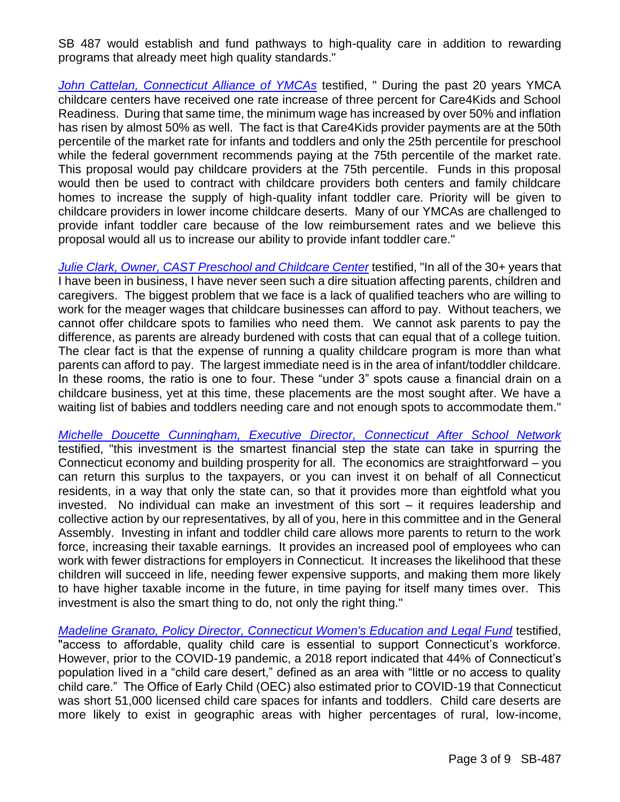SB 487 would establish and fund pathways to high-quality care in addition to rewarding programs that already meet high quality standards."

*[John Cattelan, Connecticut Alliance of YMCAs](https://cga.ct.gov/2022/FINdata/Tmy/2022SB-00487-R000330-Cattelan,%20John,%20Connecticut%20Alliance%20of%20YMCA%27s%20-%20Support-TMY.PDF)* testified, " During the past 20 years YMCA childcare centers have received one rate increase of three percent for Care4Kids and School Readiness. During that same time, the minimum wage has increased by over 50% and inflation has risen by almost 50% as well. The fact is that Care4Kids provider payments are at the 50th percentile of the market rate for infants and toddlers and only the 25th percentile for preschool while the federal government recommends paying at the 75th percentile of the market rate. This proposal would pay childcare providers at the 75th percentile. Funds in this proposal would then be used to contract with childcare providers both centers and family childcare homes to increase the supply of high-quality infant toddler care. Priority will be given to childcare providers in lower income childcare deserts. Many of our YMCAs are challenged to provide infant toddler care because of the low reimbursement rates and we believe this proposal would all us to increase our ability to provide infant toddler care."

*Julie Clark, [Owner, CAST Preschool and Childcare Center](https://cga.ct.gov/2022/FINdata/Tmy/2022SB-00487-R000330-Clark,%20Julie,%20Owner,%20CAST%20Preschool%20and%20Childcare%20Center%20-%20Support-TMY.PDF)* testified, "In all of the 30+ years that I have been in business, I have never seen such a dire situation affecting parents, children and caregivers. The biggest problem that we face is a lack of qualified teachers who are willing to work for the meager wages that childcare businesses can afford to pay. Without teachers, we cannot offer childcare spots to families who need them. We cannot ask parents to pay the difference, as parents are already burdened with costs that can equal that of a college tuition. The clear fact is that the expense of running a quality childcare program is more than what parents can afford to pay. The largest immediate need is in the area of infant/toddler childcare. In these rooms, the ratio is one to four. These "under 3" spots cause a financial drain on a childcare business, yet at this time, these placements are the most sought after. We have a waiting list of babies and toddlers needing care and not enough spots to accommodate them."

*[Michelle Doucette Cunningham, Executive Director, Connecticut After School Network](https://cga.ct.gov/2022/FINdata/Tmy/2022SB-00487-R000330-Doucette%20Cunningham,%20Michelle,%20Executive%20Director,%20Connecticut%20After%20School%20Network%20-%20Support-TMY.PDF)* testified, "this investment is the smartest financial step the state can take in spurring the Connecticut economy and building prosperity for all. The economics are straightforward – you can return this surplus to the taxpayers, or you can invest it on behalf of all Connecticut residents, in a way that only the state can, so that it provides more than eightfold what you invested. No individual can make an investment of this sort – it requires leadership and collective action by our representatives, by all of you, here in this committee and in the General Assembly. Investing in infant and toddler child care allows more parents to return to the work force, increasing their taxable earnings. It provides an increased pool of employees who can work with fewer distractions for employers in Connecticut. It increases the likelihood that these children will succeed in life, needing fewer expensive supports, and making them more likely to have higher taxable income in the future, in time paying for itself many times over. This investment is also the smart thing to do, not only the right thing."

*[Madeline Granato, Policy Director, Connecticut Women's Education and Legal Fund](https://cga.ct.gov/2022/FINdata/Tmy/2022SB-00487-R000330-Granato,%20Madeline,%20Policy%20Director,%20Connecticut%20Women%27s%20Education%20and%20Legal%20Fund%20-%20Support-TMY.PDF)* testified, "access to affordable, quality child care is essential to support Connecticut's workforce. However, prior to the COVID-19 pandemic, a 2018 report indicated that 44% of Connecticut's population lived in a "child care desert," defined as an area with "little or no access to quality child care." The Office of Early Child (OEC) also estimated prior to COVID-19 that Connecticut was short 51,000 licensed child care spaces for infants and toddlers. Child care deserts are more likely to exist in geographic areas with higher percentages of rural, low-income,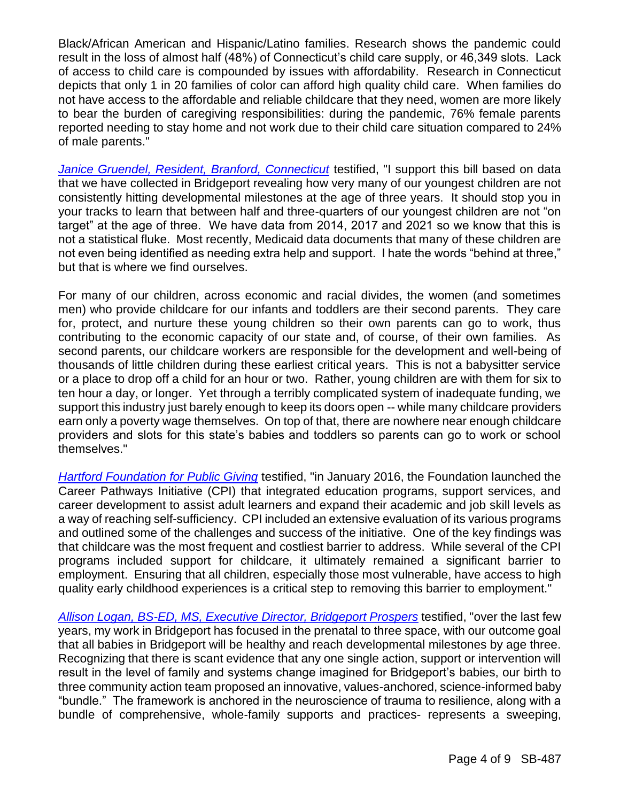Black/African American and Hispanic/Latino families. Research shows the pandemic could result in the loss of almost half (48%) of Connecticut's child care supply, or 46,349 slots. Lack of access to child care is compounded by issues with affordability. Research in Connecticut depicts that only 1 in 20 families of color can afford high quality child care. When families do not have access to the affordable and reliable childcare that they need, women are more likely to bear the burden of caregiving responsibilities: during the pandemic, 76% female parents reported needing to stay home and not work due to their child care situation compared to 24% of male parents."

*[Janice Gruendel, Resident, Branford, Connecticut](https://cga.ct.gov/2022/FINdata/Tmy/2022SB-00487-R000330-Gruendel,%20Janice,%20Resident,%20Branford,%20Connecticut%20-%20Support-TMY.PDF)* testified, "I support this bill based on data that we have collected in Bridgeport revealing how very many of our youngest children are not consistently hitting developmental milestones at the age of three years. It should stop you in your tracks to learn that between half and three-quarters of our youngest children are not "on target" at the age of three. We have data from 2014, 2017 and 2021 so we know that this is not a statistical fluke. Most recently, Medicaid data documents that many of these children are not even being identified as needing extra help and support. I hate the words "behind at three," but that is where we find ourselves.

For many of our children, across economic and racial divides, the women (and sometimes men) who provide childcare for our infants and toddlers are their second parents. They care for, protect, and nurture these young children so their own parents can go to work, thus contributing to the economic capacity of our state and, of course, of their own families. As second parents, our childcare workers are responsible for the development and well-being of thousands of little children during these earliest critical years. This is not a babysitter service or a place to drop off a child for an hour or two. Rather, young children are with them for six to ten hour a day, or longer. Yet through a terribly complicated system of inadequate funding, we support this industry just barely enough to keep its doors open -- while many childcare providers earn only a poverty wage themselves. On top of that, there are nowhere near enough childcare providers and slots for this state's babies and toddlers so parents can go to work or school themselves."

*[Hartford Foundation for Public Giving](https://cga.ct.gov/2022/FINdata/Tmy/2022SB-00487-R000330-Hartford%20Foundation%20for%20Public%20Giving%20-%20Support-TMY.PDF)* testified, "in January 2016, the Foundation launched the Career Pathways Initiative (CPI) that integrated education programs, support services, and career development to assist adult learners and expand their academic and job skill levels as a way of reaching self-sufficiency. CPI included an extensive evaluation of its various programs and outlined some of the challenges and success of the initiative. One of the key findings was that childcare was the most frequent and costliest barrier to address. While several of the CPI programs included support for childcare, it ultimately remained a significant barrier to employment. Ensuring that all children, especially those most vulnerable, have access to high quality early childhood experiences is a critical step to removing this barrier to employment."

*[Allison Logan, BS-ED, MS, Executive Director, Bridgeport Prospers](https://cga.ct.gov/2022/FINdata/Tmy/2022SB-00487-R000330-Logan,%20Allison,%20BS-ED,%20MS,%20Executive%20Director,%20Bridgeport%20Prospers%20-%20Support-TMY.PDF)* testified, "over the last few years, my work in Bridgeport has focused in the prenatal to three space, with our outcome goal that all babies in Bridgeport will be healthy and reach developmental milestones by age three. Recognizing that there is scant evidence that any one single action, support or intervention will result in the level of family and systems change imagined for Bridgeport's babies, our birth to three community action team proposed an innovative, values-anchored, science-informed baby "bundle." The framework is anchored in the neuroscience of trauma to resilience, along with a bundle of comprehensive, whole-family supports and practices- represents a sweeping,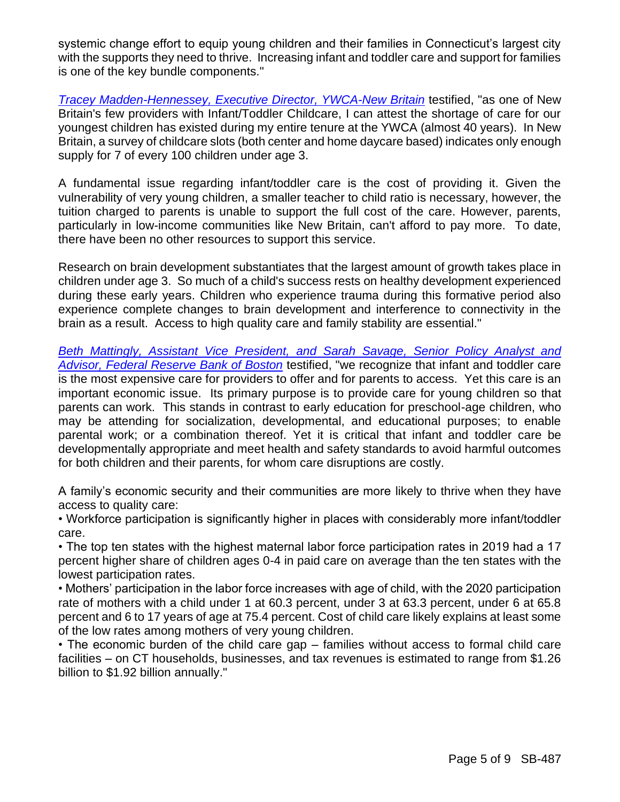systemic change effort to equip young children and their families in Connecticut's largest city with the supports they need to thrive. Increasing infant and toddler care and support for families is one of the key bundle components."

*[Tracey Madden-Hennessey, Executive Director, YWCA-New Britain](https://cga.ct.gov/2022/FINdata/Tmy/2022SB-00487-R000330-Madden-Hennessey,%20Tracey,%20Executive%20Director,%20YWCA-New%20Britain%20-%20Support-TMY.PDF)* testified, "as one of New Britain's few providers with Infant/Toddler Childcare, I can attest the shortage of care for our youngest children has existed during my entire tenure at the YWCA (almost 40 years). In New Britain, a survey of childcare slots (both center and home daycare based) indicates only enough supply for 7 of every 100 children under age 3.

A fundamental issue regarding infant/toddler care is the cost of providing it. Given the vulnerability of very young children, a smaller teacher to child ratio is necessary, however, the tuition charged to parents is unable to support the full cost of the care. However, parents, particularly in low-income communities like New Britain, can't afford to pay more. To date, there have been no other resources to support this service.

Research on brain development substantiates that the largest amount of growth takes place in children under age 3. So much of a child's success rests on healthy development experienced during these early years. Children who experience trauma during this formative period also experience complete changes to brain development and interference to connectivity in the brain as a result. Access to high quality care and family stability are essential."

*[Beth Mattingly, Assistant Vice President, and Sarah Savage,](https://cga.ct.gov/2022/FINdata/Tmy/2022SB-00487-R000330-Mattingly,%20Beth,%20Federal%20Reserve%20Bank%20of%20Boston%20-%20Support-TMY.PDF) Senior Policy Analyst and [Advisor, Federal Reserve Bank of Boston](https://cga.ct.gov/2022/FINdata/Tmy/2022SB-00487-R000330-Mattingly,%20Beth,%20Federal%20Reserve%20Bank%20of%20Boston%20-%20Support-TMY.PDF)* testified, "we recognize that infant and toddler care is the most expensive care for providers to offer and for parents to access. Yet this care is an important economic issue. Its primary purpose is to provide care for young children so that parents can work. This stands in contrast to early education for preschool-age children, who may be attending for socialization, developmental, and educational purposes; to enable parental work; or a combination thereof. Yet it is critical that infant and toddler care be developmentally appropriate and meet health and safety standards to avoid harmful outcomes for both children and their parents, for whom care disruptions are costly.

A family's economic security and their communities are more likely to thrive when they have access to quality care:

• Workforce participation is significantly higher in places with considerably more infant/toddler care.

• The top ten states with the highest maternal labor force participation rates in 2019 had a 17 percent higher share of children ages 0-4 in paid care on average than the ten states with the lowest participation rates.

• Mothers' participation in the labor force increases with age of child, with the 2020 participation rate of mothers with a child under 1 at 60.3 percent, under 3 at 63.3 percent, under 6 at 65.8 percent and 6 to 17 years of age at 75.4 percent. Cost of child care likely explains at least some of the low rates among mothers of very young children.

• The economic burden of the child care gap – families without access to formal child care facilities – on CT households, businesses, and tax revenues is estimated to range from \$1.26 billion to \$1.92 billion annually."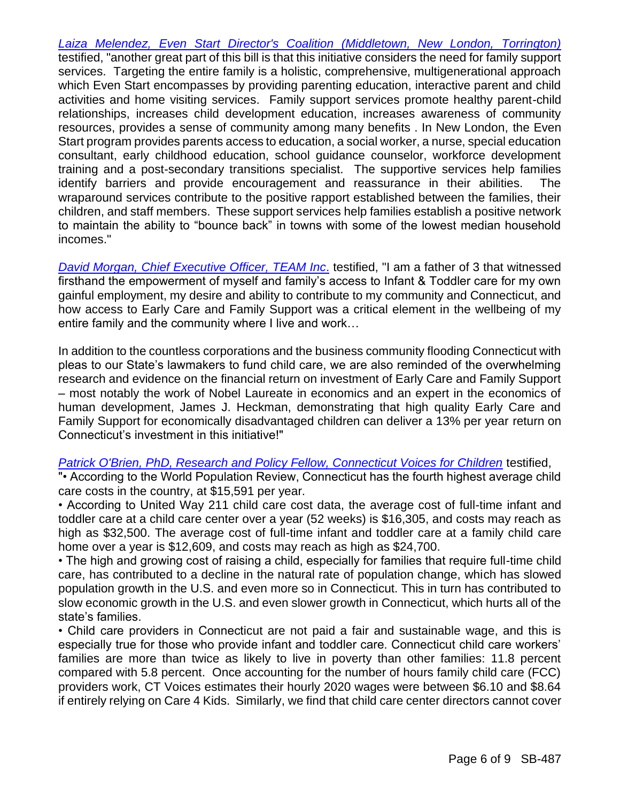*Laiza Melendez, [Even Start Director's Coalition \(Middletown, New London, Torrington\)](https://cga.ct.gov/2022/FINdata/Tmy/2022SB-00487-R000330-Melendez,%20Laiza,%20Even%20Start%20Director%27s%20Coalition%20(Middletown,%20New%20London,%20Torrington)%20-%20Support-TMY.PDF)* testified, "another great part of this bill is that this initiative considers the need for family support services. Targeting the entire family is a holistic, comprehensive, multigenerational approach which Even Start encompasses by providing parenting education, interactive parent and child activities and home visiting services. Family support services promote healthy parent-child relationships, increases child development education, increases awareness of community resources, provides a sense of community among many benefits . In New London, the Even Start program provides parents access to education, a social worker, a nurse, special education consultant, early childhood education, school guidance counselor, workforce development training and a post-secondary transitions specialist. The supportive services help families identify barriers and provide encouragement and reassurance in their abilities. The wraparound services contribute to the positive rapport established between the families, their children, and staff members. These support services help families establish a positive network to maintain the ability to "bounce back" in towns with some of the lowest median household incomes."

*[David Morgan, Chief Executive Officer, TEAM Inc](https://cga.ct.gov/2022/FINdata/Tmy/2022SB-00487-R000330-Morgan,%20David,%20Chief%20Executive%20Officer,%20TEAM%20Inc.%20-%20Support-TMY.PDF)*. testified, "I am a father of 3 that witnessed firsthand the empowerment of myself and family's access to Infant & Toddler care for my own gainful employment, my desire and ability to contribute to my community and Connecticut, and how access to Early Care and Family Support was a critical element in the wellbeing of my entire family and the community where I live and work…

In addition to the countless corporations and the business community flooding Connecticut with pleas to our State's lawmakers to fund child care, we are also reminded of the overwhelming research and evidence on the financial return on investment of Early Care and Family Support – most notably the work of Nobel Laureate in economics and an expert in the economics of human development, James J. Heckman, demonstrating that high quality Early Care and Family Support for economically disadvantaged children can deliver a 13% per year return on Connecticut's investment in this initiative!"

#### [Patrick O'Brien, PhD, Research and Policy Fellow, Connecticut Voices for Children](https://cga.ct.gov/2022/FINdata/Tmy/2022SB-00487-R000330-O%27Brien,%20Patrick,%20PhD,%20Research%20and%20Policy%20Fellow,%20Connecticut%20Voices%20for%20Children%20-%20Support-TMY.PDF) testified,

"• According to the World Population Review, Connecticut has the fourth highest average child care costs in the country, at \$15,591 per year.

• According to United Way 211 child care cost data, the average cost of full-time infant and toddler care at a child care center over a year (52 weeks) is \$16,305, and costs may reach as high as \$32,500. The average cost of full-time infant and toddler care at a family child care home over a year is \$12,609, and costs may reach as high as \$24,700.

• The high and growing cost of raising a child, especially for families that require full-time child care, has contributed to a decline in the natural rate of population change, which has slowed population growth in the U.S. and even more so in Connecticut. This in turn has contributed to slow economic growth in the U.S. and even slower growth in Connecticut, which hurts all of the state's families.

• Child care providers in Connecticut are not paid a fair and sustainable wage, and this is especially true for those who provide infant and toddler care. Connecticut child care workers' families are more than twice as likely to live in poverty than other families: 11.8 percent compared with 5.8 percent. Once accounting for the number of hours family child care (FCC) providers work, CT Voices estimates their hourly 2020 wages were between \$6.10 and \$8.64 if entirely relying on Care 4 Kids. Similarly, we find that child care center directors cannot cover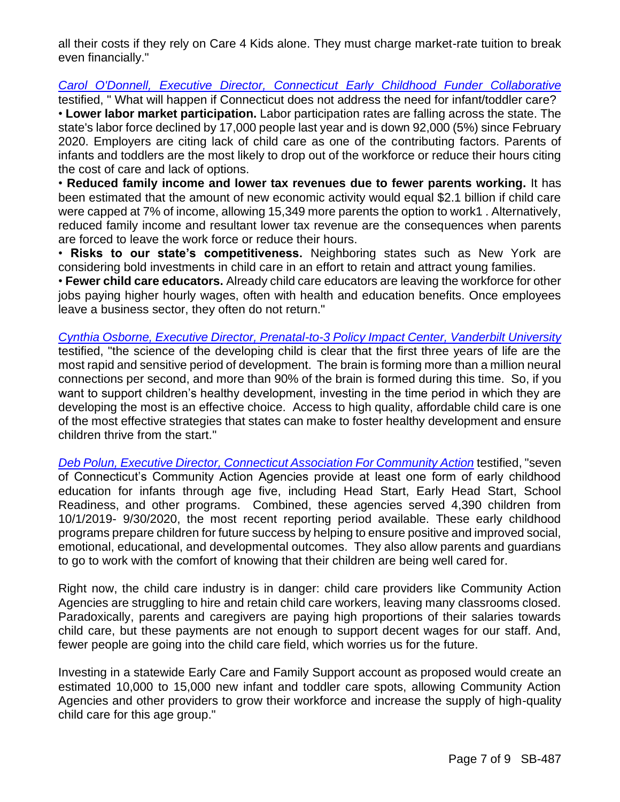all their costs if they rely on Care 4 Kids alone. They must charge market-rate tuition to break even financially."

*[Carol O'Donnell, Executive Director, Connecticut Early Childhood Funder Collaborative](https://cga.ct.gov/2022/FINdata/Tmy/2022SB-00487-R000330-O%27Donnell,%20Carol,%20Executive%20Director,%20Connecticut%20Early%20Childhood%20Funder%20Collaborative%20-%20Support-TMY.PDF)* testified, " What will happen if Connecticut does not address the need for infant/toddler care? • **Lower labor market participation.** Labor participation rates are falling across the state. The state's labor force declined by 17,000 people last year and is down 92,000 (5%) since February 2020. Employers are citing lack of child care as one of the contributing factors. Parents of infants and toddlers are the most likely to drop out of the workforce or reduce their hours citing the cost of care and lack of options.

• **Reduced family income and lower tax revenues due to fewer parents working.** It has been estimated that the amount of new economic activity would equal \$2.1 billion if child care were capped at 7% of income, allowing 15,349 more parents the option to work1 . Alternatively, reduced family income and resultant lower tax revenue are the consequences when parents are forced to leave the work force or reduce their hours.

• **Risks to our state's competitiveness.** Neighboring states such as New York are considering bold investments in child care in an effort to retain and attract young families.

• **Fewer child care educators.** Already child care educators are leaving the workforce for other jobs paying higher hourly wages, often with health and education benefits. Once employees leave a business sector, they often do not return."

*[Cynthia Osborne, Executive Director, Prenatal-to-3 Policy Impact Center, Vanderbilt](https://cga.ct.gov/2022/FINdata/Tmy/2022SB-00487-R000330-Osborne,%20Cynthia,%20Executive%20Director,%20Prenatal-to-3%20Policy%20Impact%20Center,%20Vanderbilt%20University%20-%20Support-TMY.PDF) University* testified, "the science of the developing child is clear that the first three years of life are the most rapid and sensitive period of development. The brain is forming more than a million neural connections per second, and more than 90% of the brain is formed during this time. So, if you want to support children's healthy development, investing in the time period in which they are developing the most is an effective choice. Access to high quality, affordable child care is one of the most effective strategies that states can make to foster healthy development and ensure children thrive from the start."

*[Deb Polun, Executive Director, Connecticut Association For Community Action](https://cga.ct.gov/2022/FINdata/Tmy/2022SB-00487-R000330-Polun,%20Deb,%20Executive%20Director,%20Connecticut%20Association%20For%20Community%20Action%20-%20Support-TMY.PDF)* testified, "seven of Connecticut's Community Action Agencies provide at least one form of early childhood education for infants through age five, including Head Start, Early Head Start, School Readiness, and other programs. Combined, these agencies served 4,390 children from 10/1/2019- 9/30/2020, the most recent reporting period available. These early childhood programs prepare children for future success by helping to ensure positive and improved social, emotional, educational, and developmental outcomes. They also allow parents and guardians to go to work with the comfort of knowing that their children are being well cared for.

Right now, the child care industry is in danger: child care providers like Community Action Agencies are struggling to hire and retain child care workers, leaving many classrooms closed. Paradoxically, parents and caregivers are paying high proportions of their salaries towards child care, but these payments are not enough to support decent wages for our staff. And, fewer people are going into the child care field, which worries us for the future.

Investing in a statewide Early Care and Family Support account as proposed would create an estimated 10,000 to 15,000 new infant and toddler care spots, allowing Community Action Agencies and other providers to grow their workforce and increase the supply of high-quality child care for this age group."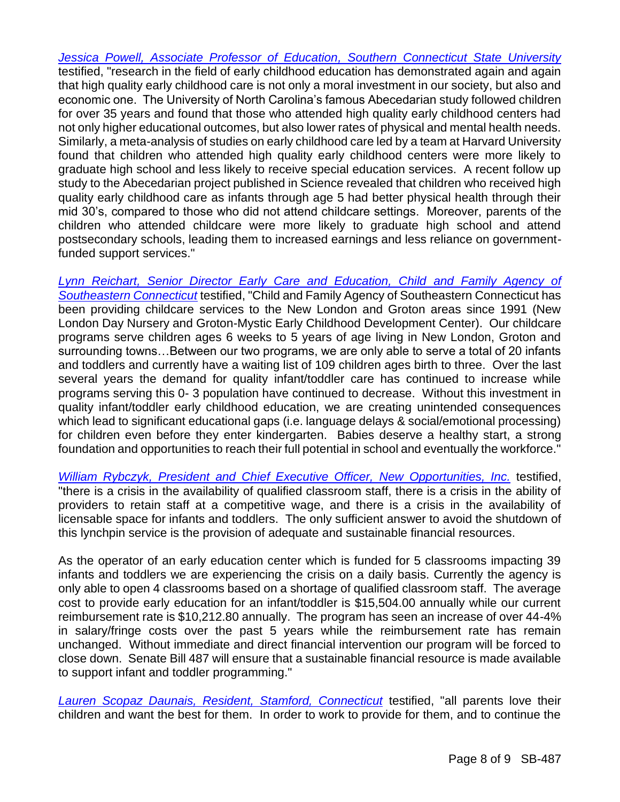*[Jessica Powell, Associate Professor of Education, Southern Connecticut State University](https://cga.ct.gov/2022/FINdata/Tmy/2022SB-00487-R000330-Powell,%20Jessica,%20Associate%20Professor%20of%20Education,%20Southern%20Connecticut%20State%20University%20-%20Support-TMY.PDF)* testified, "research in the field of early childhood education has demonstrated again and again that high quality early childhood care is not only a moral investment in our society, but also and economic one. The University of North Carolina's famous Abecedarian study followed children for over 35 years and found that those who attended high quality early childhood centers had not only higher educational outcomes, but also lower rates of physical and mental health needs. Similarly, a meta-analysis of studies on early childhood care led by a team at Harvard University found that children who attended high quality early childhood centers were more likely to graduate high school and less likely to receive special education services. A recent follow up study to the Abecedarian project published in Science revealed that children who received high quality early childhood care as infants through age 5 had better physical health through their mid 30's, compared to those who did not attend childcare settings. Moreover, parents of the children who attended childcare were more likely to graduate high school and attend postsecondary schools, leading them to increased earnings and less reliance on governmentfunded support services."

*[Lynn Reichart, Senior Director Early Care and Education, Child](https://cga.ct.gov/2022/FINdata/Tmy/2022SB-00487-R000330-Reichart,%20Lynn,%20Senior%20Director%20Early%20Care%20and%20Education,%20Child%20and%20Family%20Agency%20of%20Southeastern%20Connecticut%20-%20Support-TMY.PDF) and Family Agency of [Southeastern Connecticut](https://cga.ct.gov/2022/FINdata/Tmy/2022SB-00487-R000330-Reichart,%20Lynn,%20Senior%20Director%20Early%20Care%20and%20Education,%20Child%20and%20Family%20Agency%20of%20Southeastern%20Connecticut%20-%20Support-TMY.PDF)* testified, "Child and Family Agency of Southeastern Connecticut has been providing childcare services to the New London and Groton areas since 1991 (New London Day Nursery and Groton-Mystic Early Childhood Development Center). Our childcare programs serve children ages 6 weeks to 5 years of age living in New London, Groton and surrounding towns…Between our two programs, we are only able to serve a total of 20 infants and toddlers and currently have a waiting list of 109 children ages birth to three. Over the last several years the demand for quality infant/toddler care has continued to increase while programs serving this 0- 3 population have continued to decrease. Without this investment in quality infant/toddler early childhood education, we are creating unintended consequences which lead to significant educational gaps (i.e. language delays & social/emotional processing) for children even before they enter kindergarten. Babies deserve a healthy start, a strong foundation and opportunities to reach their full potential in school and eventually the workforce."

*[William Rybczyk, President and Chief Executive Officer, New Opportunities, Inc.](https://cga.ct.gov/2022/FINdata/Tmy/2022SB-00487-R000330-Rybczyk,%20William,%20President-CEO,%20New%20Opportunities,%20Inc.%20-%20Support-TMY.PDF)* testified, "there is a crisis in the availability of qualified classroom staff, there is a crisis in the ability of providers to retain staff at a competitive wage, and there is a crisis in the availability of licensable space for infants and toddlers. The only sufficient answer to avoid the shutdown of this lynchpin service is the provision of adequate and sustainable financial resources.

As the operator of an early education center which is funded for 5 classrooms impacting 39 infants and toddlers we are experiencing the crisis on a daily basis. Currently the agency is only able to open 4 classrooms based on a shortage of qualified classroom staff. The average cost to provide early education for an infant/toddler is \$15,504.00 annually while our current reimbursement rate is \$10,212.80 annually. The program has seen an increase of over 44-4% in salary/fringe costs over the past 5 years while the reimbursement rate has remain unchanged. Without immediate and direct financial intervention our program will be forced to close down. Senate Bill 487 will ensure that a sustainable financial resource is made available to support infant and toddler programming."

*[Lauren Scopaz Daunais, Resident, Stamford, Connecticut](https://cga.ct.gov/2022/FINdata/Tmy/2022SB-00487-R000330-Scopaz%20Daunais,%20Lauren,%20Resident,%20Stamford,%20Connecticut%20-%20Support-TMY.PDF)* testified, "all parents love their children and want the best for them. In order to work to provide for them, and to continue the